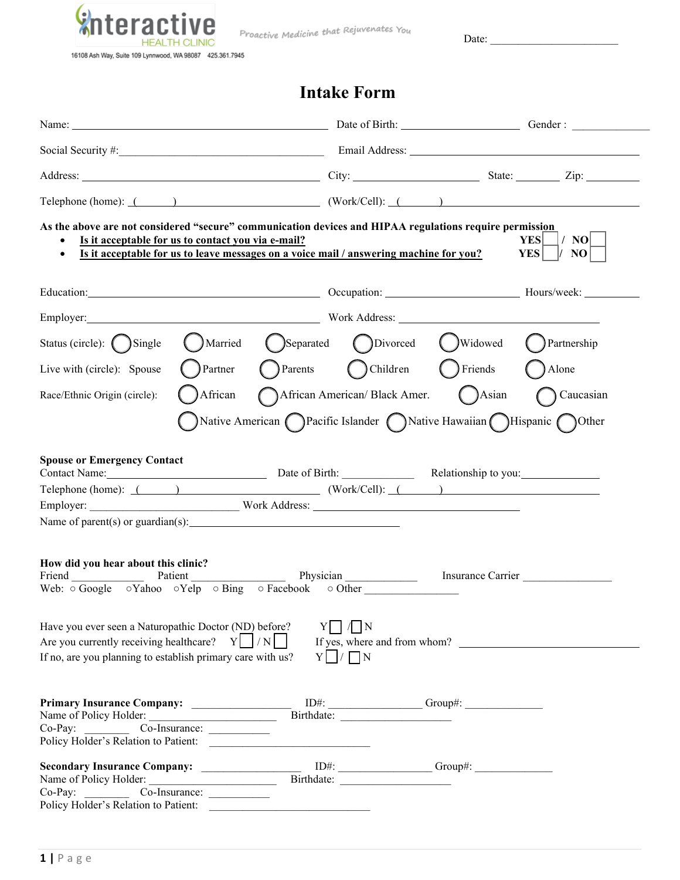

Proactive Medicine that Rejuvenates You

Date: \_\_\_\_\_\_\_\_\_\_\_\_\_\_\_\_\_\_\_\_\_\_\_

# **Intake Form**

| Name: Gender: Gender: Gender: Gender: Gender: Gender: Gender: Gender: Gender: Gender: Gender: Gender: Gender: Gender: Gender: Gender: Gender: Gender: Gender: Gender: Gender: Gender: Gender: Gender: Gender: Gender: Gender:                                                |                                                                               |                                             |
|------------------------------------------------------------------------------------------------------------------------------------------------------------------------------------------------------------------------------------------------------------------------------|-------------------------------------------------------------------------------|---------------------------------------------|
|                                                                                                                                                                                                                                                                              |                                                                               |                                             |
| Address: <u>City:</u> City: State: Zip: Zip:                                                                                                                                                                                                                                 |                                                                               |                                             |
| Telephone (home): ( ) ( Work/Cell): ( ) ( )                                                                                                                                                                                                                                  |                                                                               |                                             |
| As the above are not considered "secure" communication devices and HIPAA regulations require permission<br>Is it acceptable for us to contact you via e-mail?<br>Is it acceptable for us to leave messages on a voice mail / answering machine for you?<br>$\bullet$         |                                                                               | $ /$ NO $ $<br>YES<br><b>YES</b><br>$ /$ NO |
| Education: Hours/week: Hours/week: Hours/week: Hours/week: Hours/week: New York 2014                                                                                                                                                                                         |                                                                               |                                             |
| Employer: Nork Address: Nork Address:                                                                                                                                                                                                                                        |                                                                               |                                             |
| Status (circle): ( ) Single                                                                                                                                                                                                                                                  | Married (Separated (Divorced (Widowed (Partnership                            |                                             |
| $\bigcap$ Partner<br>Live with (circle): Spouse                                                                                                                                                                                                                              | Parents Children CFriends CAlone                                              |                                             |
| African<br>Race/Ethnic Origin (circle):                                                                                                                                                                                                                                      | African American/Black Amer. ( ) Asian ( ) Caucasian                          |                                             |
|                                                                                                                                                                                                                                                                              | Native American <i>Pacific Islander</i> Native Hawaiian <i>Hispanic</i> Other |                                             |
| <b>Spouse or Emergency Contact</b><br>Contact Name: Date of Birth: Relationship to you: New York:<br>Telephone (home): ( ) ( Work/Cell): ( ) ( )                                                                                                                             |                                                                               |                                             |
| How did you hear about this clinic?<br>Friend Patient Patient Physician Physician<br>Web: $\overline{\circ}$ Google $\circ$ Yahoo $\circ$ Yelp $\circ$ Bing $\circ$ Facebook $\circ$ Other                                                                                   |                                                                               | Insurance Carrier                           |
| Have you ever seen a Naturopathic Doctor (ND) before?<br>Are you currently receiving healthcare? $Y \mid /N \mid$<br>If no, are you planning to establish primary care with us?                                                                                              | 1N<br>If yes, where and from whom?<br>$Y \cap / \cap N$                       |                                             |
|                                                                                                                                                                                                                                                                              |                                                                               |                                             |
| Policy Holder's Relation to Patient:<br><u> 1989 - Johann Harry Harry Harry Harry Harry Harry Harry Harry Harry Harry Harry Harry Harry Harry Harry Harry Harry Harry Harry Harry Harry Harry Harry Harry Harry Harry Harry Harry Harry Harry Harry Harry Harry Harry Ha</u> |                                                                               |                                             |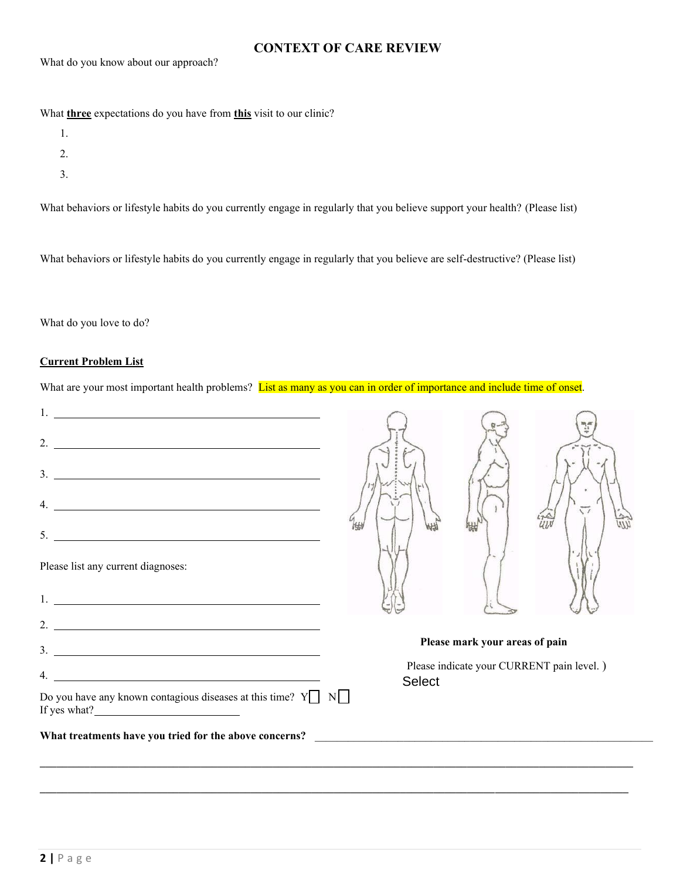# **CONTEXT OF CARE REVIEW**

What do you know about our approach?

What **three** expectations do you have from **this** visit to our clinic?

- 1.
- 2.
- 
- 3.

What behaviors or lifestyle habits do you currently engage in regularly that you believe support your health? (Please list)

What behaviors or lifestyle habits do you currently engage in regularly that you believe are self-destructive? (Please list)

What do you love to do?

# **Current Problem List**

What are your most important health problems? List as many as you can in order of importance and include time of onset.

| 4.                                                                                                                                                                                                                                 |               |                                |                                           |
|------------------------------------------------------------------------------------------------------------------------------------------------------------------------------------------------------------------------------------|---------------|--------------------------------|-------------------------------------------|
| 5.<br><u> Alexandria de la contrada de la contrada de la contrada de la contrada de la contrada de la contrada de la c</u>                                                                                                         |               |                                |                                           |
| Please list any current diagnoses:                                                                                                                                                                                                 |               |                                |                                           |
| 1. <b>Example 20</b> Section 20 and 20 Section 20 and 20 Section 20 and 20 Section 20 and 20 Section 20 and 20 Section 20 and 20 Section 20 and 20 Section 20 and 20 Section 20 and 20 Section 20 and 20 Section 20 and 20 Section |               |                                |                                           |
| 2.                                                                                                                                                                                                                                 |               |                                |                                           |
| $3.$ $\overline{\phantom{a}}$                                                                                                                                                                                                      |               | Please mark your areas of pain |                                           |
| <u> 1980 - Johann Stoff, fransk politik (d. 1980)</u><br>$\overline{4}$ .                                                                                                                                                          | <b>Select</b> |                                | Please indicate your CURRENT pain level.) |
| Do you have any known contagious diseases at this time? $Y \cap N$<br>If yes what? $\frac{1}{2}$                                                                                                                                   |               |                                |                                           |
| What treatments have you tried for the above concerns?                                                                                                                                                                             |               |                                |                                           |
|                                                                                                                                                                                                                                    |               |                                |                                           |

**\_\_\_\_\_\_\_\_\_\_\_\_\_\_\_\_\_\_\_\_\_\_\_\_\_\_\_\_\_\_\_\_\_\_\_\_\_\_\_\_\_\_\_\_\_\_\_\_\_\_\_\_\_\_\_\_\_\_\_\_\_\_\_\_\_\_\_\_\_\_\_\_\_\_\_\_\_\_\_\_\_\_\_\_\_\_\_\_\_\_\_\_\_\_\_\_\_\_\_\_\_\_\_\_\_\_**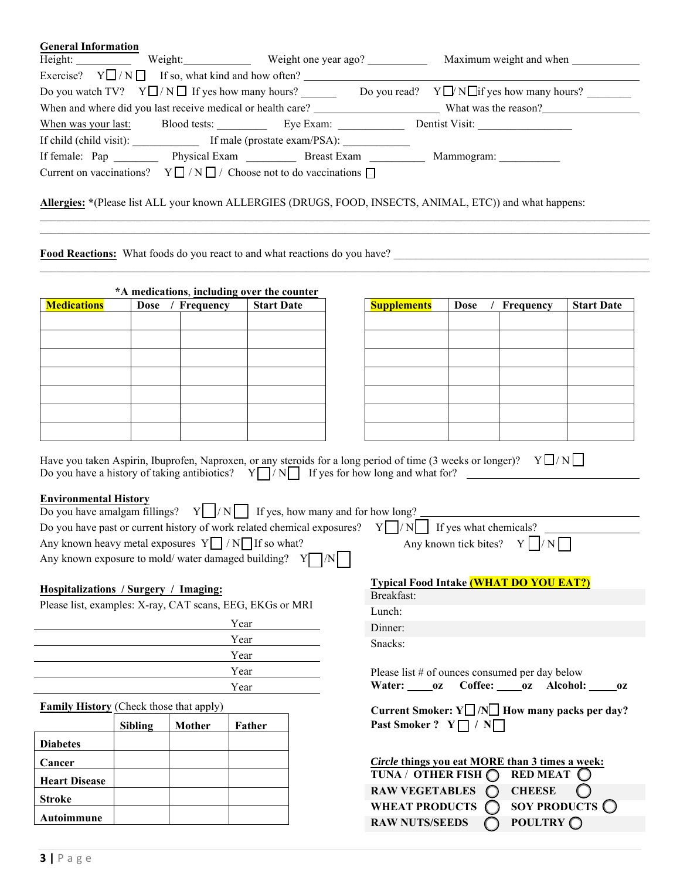| <b>General Information</b> |                                                                                            |                                                                                                                             |
|----------------------------|--------------------------------------------------------------------------------------------|-----------------------------------------------------------------------------------------------------------------------------|
|                            |                                                                                            |                                                                                                                             |
|                            | Exercise? $Y \square / N \square$ If so, what kind and how often?                          |                                                                                                                             |
|                            |                                                                                            | Do you watch TV? $Y \square / N \square$ If yes how many hours? Do you read? $Y \square / N \square$ if yes how many hours? |
|                            |                                                                                            | When and where did you last receive medical or health care? What was the reason?                                            |
|                            | When was your last: Blood tests: Eye Exam:                                                 | Dentist Visit:                                                                                                              |
|                            |                                                                                            |                                                                                                                             |
|                            |                                                                                            |                                                                                                                             |
|                            | Current on vaccinations? $Y \square / N \square /$ Choose not to do vaccinations $\square$ |                                                                                                                             |
|                            |                                                                                            |                                                                                                                             |
|                            |                                                                                            | Allergies: *(Please list ALL your known ALLERGIES (DRUGS, FOOD, INSECTS, ANIMAL, ETC)) and what happens:                    |
|                            |                                                                                            |                                                                                                                             |
|                            |                                                                                            |                                                                                                                             |

 $\mathcal{L}_\mathcal{L} = \{ \mathcal{L}_\mathcal{L} = \{ \mathcal{L}_\mathcal{L} = \{ \mathcal{L}_\mathcal{L} = \{ \mathcal{L}_\mathcal{L} = \{ \mathcal{L}_\mathcal{L} = \{ \mathcal{L}_\mathcal{L} = \{ \mathcal{L}_\mathcal{L} = \{ \mathcal{L}_\mathcal{L} = \{ \mathcal{L}_\mathcal{L} = \{ \mathcal{L}_\mathcal{L} = \{ \mathcal{L}_\mathcal{L} = \{ \mathcal{L}_\mathcal{L} = \{ \mathcal{L}_\mathcal{L} = \{ \mathcal{L}_\mathcal{$ 

**Food Reactions:** What foods do you react to and what reactions do you have? \_\_\_\_\_\_\_\_\_\_\_\_\_\_\_\_\_\_\_\_\_\_\_\_\_\_\_\_\_\_\_\_\_\_\_\_\_\_\_\_\_\_\_\_\_\_

|                    |                     | *A medications, including over the counter |                    |             |           |
|--------------------|---------------------|--------------------------------------------|--------------------|-------------|-----------|
| <b>Medications</b> | ' Frequency<br>Dose | <b>Start Date</b>                          | <b>Supplements</b> | <b>Dose</b> | Frequency |
|                    |                     |                                            |                    |             |           |
|                    |                     |                                            |                    |             |           |
|                    |                     |                                            |                    |             |           |
|                    |                     |                                            |                    |             |           |
|                    |                     |                                            |                    |             |           |
|                    |                     |                                            |                    |             |           |
|                    |                     |                                            |                    |             |           |
|                    |                     |                                            |                    |             |           |
|                    |                     |                                            |                    |             |           |

| <b>Supplements</b> | Dose / Frequency | <b>Start Date</b> |
|--------------------|------------------|-------------------|
|                    |                  |                   |
|                    |                  |                   |
|                    |                  |                   |
|                    |                  |                   |
|                    |                  |                   |
|                    |                  |                   |
|                    |                  |                   |
|                    |                  |                   |
|                    |                  |                   |

Have you taken Aspirin, Ibuprofen, Naproxen, or any steroids for a long period of time (3 weeks or longer)?  $Y \Box / N \Box$ Do you have a history of taking antibiotics?  $Y \cap / N$  If yes for how long and what for?

### **Environmental History**

| Do you have amalgam fillings? $Y \mid /N \mid$ If yes, how many and for how long?                         |                                  |
|-----------------------------------------------------------------------------------------------------------|----------------------------------|
| Do you have past or current history of work related chemical exposures? $Y \cap N$ If yes what chemicals? |                                  |
| Any known heavy metal exposures $Y \cap N \cap H$ if so what?                                             | Any known tick bites? $Y \cap N$ |
| Any known exposure to mold/water damaged building? $Y \cap N$                                             |                                  |
|                                                                                                           |                                  |

### **Hospitalizations / Surgery / Imaging:**

Please list, examples: X-ray, CAT scans, EEG, EKGs or MRI

| Year |
|------|
| Year |
| Year |
| Year |
| Year |
|      |

**Family History** (Check those that apply)

|                      | <b>Sibling</b> | <b>Mother</b> | Father |
|----------------------|----------------|---------------|--------|
| <b>Diabetes</b>      |                |               |        |
| Cancer               |                |               |        |
| <b>Heart Disease</b> |                |               |        |
| <b>Stroke</b>        |                |               |        |
| Autoimmune           |                |               |        |

|            | <b>Typical Food Intake (WHAT DO YOU EAT?)</b> |  |
|------------|-----------------------------------------------|--|
| Breakfast: |                                               |  |

| Lunch: |  |
|--------|--|
|        |  |

Dinner:

Snacks:

Please list # of ounces consumed per day below **Water: \_\_\_\_ oz Coffee: \_\_\_\_ oz Alcohol: \_\_\_\_\_oz** 

| Current Smoker: $Y \perp / N \perp$ How many packs per day? |  |  |  |  |
|-------------------------------------------------------------|--|--|--|--|
| Past Smoker ? $Y \cap / N$                                  |  |  |  |  |

| Circle things you eat MORE than 3 times a week:                |                         |
|----------------------------------------------------------------|-------------------------|
| $\overline{\text{TUNA}/\text{OTHER FISH}}$ RED MEAT $\bigcirc$ |                         |
| RAW VEGETABLES $\bigcirc$                                      | <b>CHEESE</b>           |
| WHEAT PRODUCTS $\bigcap$                                       | SOY PRODUCTS $\bigcirc$ |
| <b>RAW NUTS/SEEDS</b>                                          | POULTRY O               |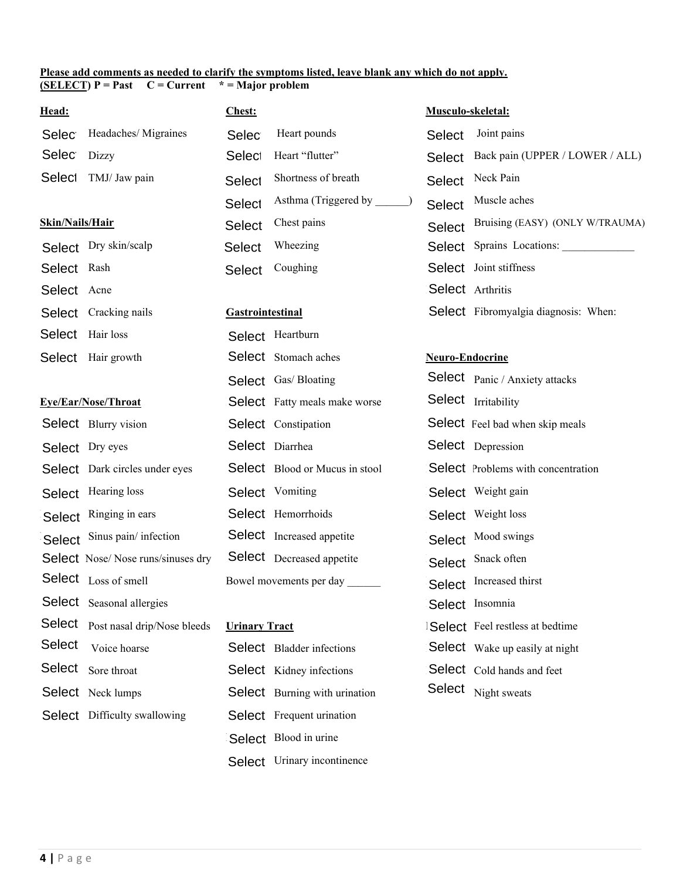#### **Please add comments as needed to clarify the symptoms listed, leave blank any which do not apply. (SELECT) P = Past C = Current \* = Major problem**

| Head:               |                                     | <b>Chest:</b>           |                                       | Musculo-skeletal:      |                                           |
|---------------------|-------------------------------------|-------------------------|---------------------------------------|------------------------|-------------------------------------------|
| <b>Selec</b>        | Headaches/Migraines                 | <b>Selec</b>            | Heart pounds                          | <b>Select</b>          | Joint pains                               |
| <b>Selec</b>        | Dizzy                               | Select                  | Heart "flutter"                       | Select                 | Back pain (UPPER / LOWER / ALL)           |
| Select              | TMJ/ Jaw pain                       | Select                  | Shortness of breath                   | <b>Select</b>          | Neck Pain                                 |
|                     |                                     | Select                  | Asthma (Triggered by                  | <b>Select</b>          | Muscle aches                              |
| Skin/Nails/Hair     |                                     | Select                  | Chest pains                           | <b>Select</b>          | Bruising (EASY) (ONLY W/TRAUMA)           |
|                     | Select Dry skin/scalp               | <b>Select</b>           | Wheezing                              | <b>Select</b>          | Sprains Locations:                        |
| Select Rash         |                                     | <b>Select</b>           | Coughing                              |                        | Select Joint stiffness                    |
| Select Acne         |                                     |                         |                                       |                        | Select Arthritis                          |
|                     | Select Cracking nails               | <b>Gastrointestinal</b> |                                       |                        | Select Fibromyalgia diagnosis: When:      |
|                     | Select Hair loss                    |                         | Select Heartburn                      |                        |                                           |
|                     | Select Hair growth                  |                         | Select Stomach aches                  | <b>Neuro-Endocrine</b> |                                           |
|                     |                                     |                         | Select Gas/ Bloating                  |                        | <b>Select</b> Panic / Anxiety attacks     |
| Eye/Ear/Nose/Throat |                                     |                         | <b>Select</b> Fatty meals make worse  |                        | Select Irritability                       |
|                     | <b>Select</b> Blurry vision         |                         | Select Constipation                   |                        | Select Feel bad when skip meals           |
|                     | Select Dry eyes                     |                         | Select Diarrhea                       |                        | Select Depression                         |
|                     | Select Dark circles under eyes      |                         | <b>Select</b> Blood or Mucus in stool |                        | <b>Select</b> Problems with concentration |
|                     | Select Hearing loss                 |                         | Select Vomiting                       |                        | Select Weight gain                        |
| <b>Select</b>       | Ringing in ears                     |                         | Select Hemorrhoids                    |                        | Select Weight loss                        |
| <b>Select</b>       | Sinus pain/infection                |                         | <b>Select</b> Increased appetite      | Select                 | Mood swings                               |
|                     | Select Nose/Nose runs/sinuses dry   |                         | <b>Select</b> Decreased appetite      | <b>Select</b>          | Snack often                               |
|                     | Select Loss of smell                |                         | Bowel movements per day               |                        | Select Increased thirst                   |
|                     | <b>Select</b> Seasonal allergies    |                         |                                       |                        | Select Insomnia                           |
|                     | Select Post nasal drip/Nose bleeds  | <b>Urinary Tract</b>    |                                       |                        | <b>Select</b> Feel restless at bedtime    |
| Select              | Voice hoarse                        |                         | <b>Select</b> Bladder infections      |                        | Select Wake up easily at night            |
| Select              | Sore throat                         |                         | <b>Select</b> Kidney infections       |                        | Select Cold hands and feet                |
|                     | <b>Select</b> Neck lumps            |                         | Select Burning with urination         |                        | Select Night sweats                       |
|                     | <b>Select</b> Difficulty swallowing |                         | Select Frequent urination             |                        |                                           |
|                     |                                     |                         | Select Blood in urine                 |                        |                                           |
|                     |                                     |                         | Select Urinary incontinence           |                        |                                           |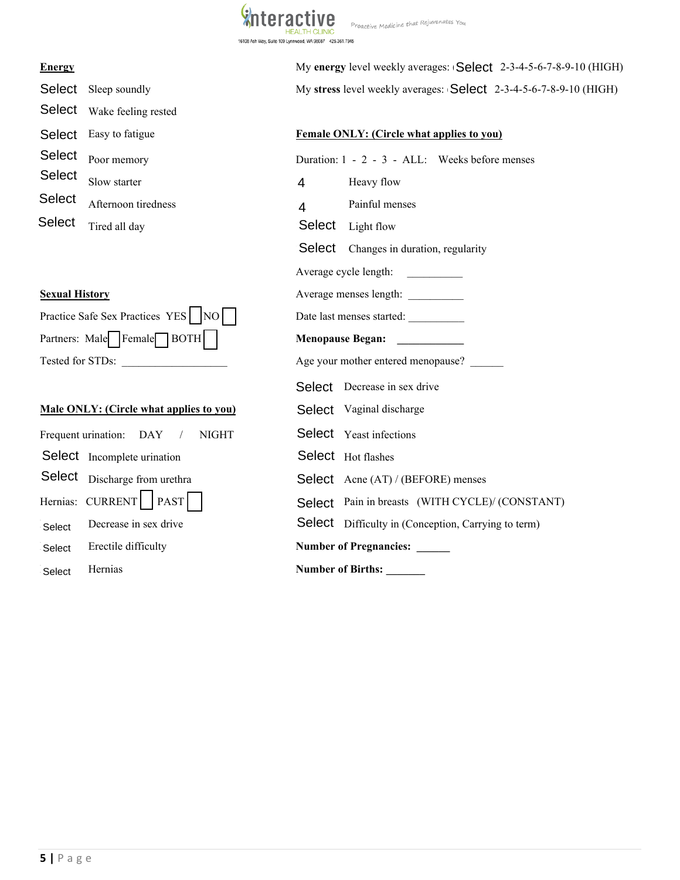

Proactive Medicine that Rejuvenates You

Select Wake feeling rested Poor memory **Slow starter Afternoon tiredness Select** Tired all day Select Sleep soundly Select Easy to fatigue Select Select **Select** Energy<br>
Select Seep soundly<br>
Select Seep soundly<br>
Select Wake feeling rested<br>
Select Easy to fatigue<br>
Select Easy to fatigue<br>
Poor memory<br>
Select Poor memory<br>
Select Soundler<br>
Select Soundler<br>
Select Server Select Soundler

## **Sexual History**

| Practice Safe Sex Practices YES $\sqrt{NO}$ |
|---------------------------------------------|
| Partners: Male Female BOTH                  |
| Tested for STDs:                            |

# **Male ONLY: (Circle what applies to you)**

|                                                | 4                                                  | Heavy flow                              |  |
|------------------------------------------------|----------------------------------------------------|-----------------------------------------|--|
| Afternoon tiredness                            | 4                                                  | Painful menses                          |  |
| Tired all day                                  |                                                    | Select Light flow                       |  |
|                                                |                                                    | Changes in duration, re                 |  |
|                                                |                                                    | Average cycle length:                   |  |
| <b>Sexual History</b>                          | Average menses length:                             |                                         |  |
| Practice Safe Sex Practices YES   NO           |                                                    | Date last menses started:               |  |
| Partners: Male   Female   BOTH                 | <b>Menopause Began:</b><br><u> 1999 - Jan Jawa</u> |                                         |  |
| Tested for STDs:                               | Age your mother entered menopau                    |                                         |  |
|                                                |                                                    | <b>Select</b> Decrease in sex drive     |  |
| <b>Male ONLY: (Circle what applies to you)</b> |                                                    | Select Vaginal discharge                |  |
| Frequent urination: DAY /<br><b>NIGHT</b>      |                                                    | Select Yeast infections                 |  |
| Select Incomplete urination                    |                                                    | Select Hot flashes                      |  |
| Discharge from urethra                         |                                                    | <b>Select</b> Acne (AT) / (BEFORE)      |  |
| Hernias: CURRENT   PAST                        |                                                    | Select Pain in breasts (WITH            |  |
| Decrease in sex drive                          |                                                    | <b>Select</b> Difficulty in (Conception |  |
| Erectile difficulty                            |                                                    | Number of Pregnancies: _____            |  |
| Hernias                                        |                                                    | <b>Number of Births:</b>                |  |
|                                                | Slow starter                                       | Select                                  |  |

**Energy** My **energy** level weekly averages: (Select 2-3-4-5-6-7-8-9-10 (HIGH) My stress level weekly averages: **Select** 2-3-4-5-6-7-8-9-10 (HIGH)

# **Female ONLY:** (Circle what applies to you)

| oeiedr                | Poor memory                                    |                                      | Duration: 1 - 2 - 3 - ALL: Weeks before menses             |  |
|-----------------------|------------------------------------------------|--------------------------------------|------------------------------------------------------------|--|
| Select                | Slow starter                                   | $\overline{4}$                       | Heavy flow                                                 |  |
| Select                | Afternoon tiredness                            | 4                                    | Painful menses                                             |  |
| Select                | Tired all day                                  | Select                               | Light flow                                                 |  |
|                       |                                                |                                      | Select Changes in duration, regularity                     |  |
|                       |                                                |                                      | Average cycle length:                                      |  |
| <b>Sexual History</b> |                                                |                                      |                                                            |  |
|                       | Practice Safe Sex Practices YES   NO           |                                      | Date last menses started:                                  |  |
|                       | Partners: Male   Female   BOTH                 | <b>Menopause Began:</b>              |                                                            |  |
| Tested for STDs:      |                                                | Age your mother entered menopause? _ |                                                            |  |
|                       |                                                |                                      | <b>Select</b> Decrease in sex drive                        |  |
|                       | <b>Male ONLY: (Circle what applies to you)</b> |                                      | Select Vaginal discharge                                   |  |
|                       | Frequent urination: DAY<br><b>NIGHT</b>        |                                      | <b>Select</b> Yeast infections                             |  |
|                       | Select Incomplete urination                    |                                      | Select Hot flashes                                         |  |
|                       | Select Discharge from urethra                  |                                      | <b>Select</b> Acne (AT) / (BEFORE) menses                  |  |
| Hernias: CURRENT      | <b>PAST</b>                                    |                                      | Select Pain in breasts (WITH CYCLE)/ (CONSTANT)            |  |
| Select                | Decrease in sex drive                          |                                      | <b>Select</b> Difficulty in (Conception, Carrying to term) |  |
| Select                | Erectile difficulty                            |                                      | <b>Number of Pregnancies:</b>                              |  |
| Select                | Hernias                                        | <b>Number of Births:</b>             |                                                            |  |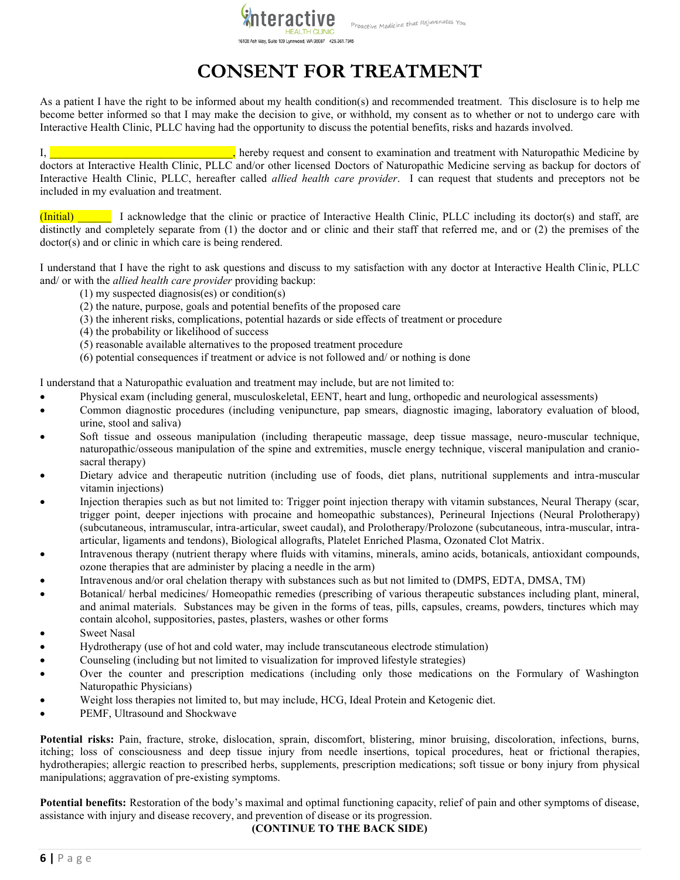

#### Proactive Medicine that Rejuvenates You

# **CONSENT FOR TREATMENT**

As a patient I have the right to be informed about my health condition(s) and recommended treatment. This disclosure is to help me become better informed so that I may make the decision to give, or withhold, my consent as to whether or not to undergo care with Interactive Health Clinic, PLLC having had the opportunity to discuss the potential benefits, risks and hazards involved.

I, **Example 2018** 1. The set of the set of the set of the examination and treatment with Naturopathic Medicine by doctors at Interactive Health Clinic, PLLC and/or other licensed Doctors of Naturopathic Medicine serving as backup for doctors of Interactive Health Clinic, PLLC, hereafter called *allied health care provider*. I can request that students and preceptors not be included in my evaluation and treatment.

(Initial) \_\_\_\_\_\_ I acknowledge that the clinic or practice of Interactive Health Clinic, PLLC including its doctor(s) and staff, are distinctly and completely separate from (1) the doctor and or clinic and their staff that referred me, and or (2) the premises of the doctor(s) and or clinic in which care is being rendered.

I understand that I have the right to ask questions and discuss to my satisfaction with any doctor at Interactive Health Clinic, PLLC and/ or with the *allied health care provider* providing backup:

- (1) my suspected diagnosis(es) or condition(s)
- (2) the nature, purpose, goals and potential benefits of the proposed care
- (3) the inherent risks, complications, potential hazards or side effects of treatment or procedure
- (4) the probability or likelihood of success
- (5) reasonable available alternatives to the proposed treatment procedure
- (6) potential consequences if treatment or advice is not followed and/ or nothing is done

I understand that a Naturopathic evaluation and treatment may include, but are not limited to:

- Physical exam (including general, musculoskeletal, EENT, heart and lung, orthopedic and neurological assessments)
- Common diagnostic procedures (including venipuncture, pap smears, diagnostic imaging, laboratory evaluation of blood, urine, stool and saliva)
- Soft tissue and osseous manipulation (including therapeutic massage, deep tissue massage, neuro-muscular technique, naturopathic/osseous manipulation of the spine and extremities, muscle energy technique, visceral manipulation and craniosacral therapy)
- Dietary advice and therapeutic nutrition (including use of foods, diet plans, nutritional supplements and intra-muscular vitamin injections)
- Injection therapies such as but not limited to: Trigger point injection therapy with vitamin substances, Neural Therapy (scar, trigger point, deeper injections with procaine and homeopathic substances), Perineural Injections (Neural Prolotherapy) (subcutaneous, intramuscular, intra-articular, sweet caudal), and Prolotherapy/Prolozone (subcutaneous, intra-muscular, intraarticular, ligaments and tendons), Biological allografts, Platelet Enriched Plasma, Ozonated Clot Matrix.
- Intravenous therapy (nutrient therapy where fluids with vitamins, minerals, amino acids, botanicals, antioxidant compounds, ozone therapies that are administer by placing a needle in the arm)
- Intravenous and/or oral chelation therapy with substances such as but not limited to (DMPS, EDTA, DMSA, TM)
- Botanical/ herbal medicines/ Homeopathic remedies (prescribing of various therapeutic substances including plant, mineral, and animal materials. Substances may be given in the forms of teas, pills, capsules, creams, powders, tinctures which may contain alcohol, suppositories, pastes, plasters, washes or other forms
- **Sweet Nasal**
- Hydrotherapy (use of hot and cold water, may include transcutaneous electrode stimulation)
- Counseling (including but not limited to visualization for improved lifestyle strategies)
- Over the counter and prescription medications (including only those medications on the Formulary of Washington Naturopathic Physicians)
- Weight loss therapies not limited to, but may include, HCG, Ideal Protein and Ketogenic diet.
- PEMF, Ultrasound and Shockwave

**Potential risks:** Pain, fracture, stroke, dislocation, sprain, discomfort, blistering, minor bruising, discoloration, infections, burns, itching; loss of consciousness and deep tissue injury from needle insertions, topical procedures, heat or frictional therapies, hydrotherapies; allergic reaction to prescribed herbs, supplements, prescription medications; soft tissue or bony injury from physical manipulations; aggravation of pre-existing symptoms.

**Potential benefits:** Restoration of the body's maximal and optimal functioning capacity, relief of pain and other symptoms of disease, assistance with injury and disease recovery, and prevention of disease or its progression.

**(CONTINUE TO THE BACK SIDE)**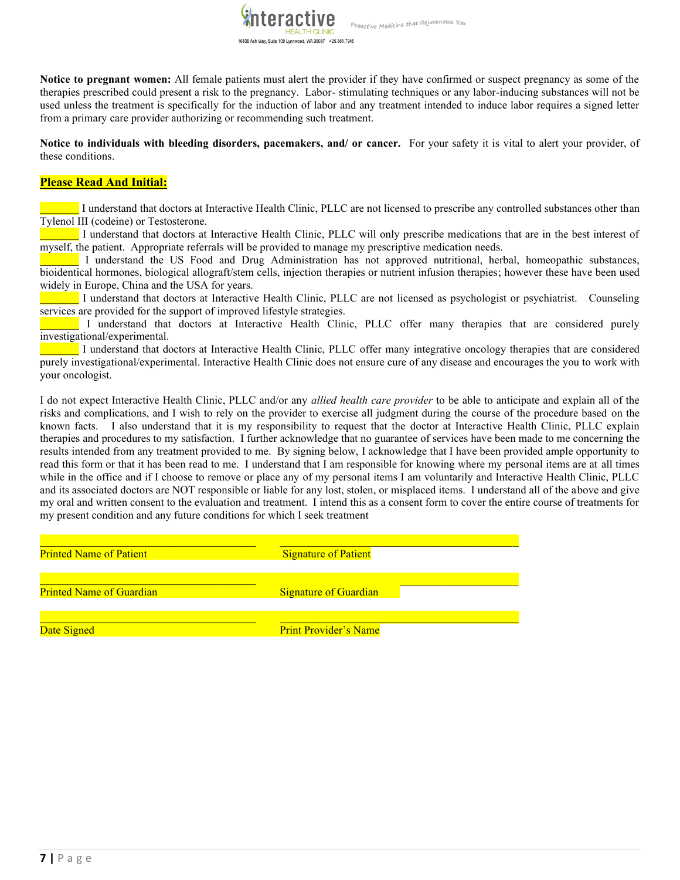**Notice to pregnant women:** All female patients must alert the provider if they have confirmed or suspect pregnancy as some of the therapies prescribed could present a risk to the pregnancy. Labor- stimulating techniques or any labor-inducing substances will not be used unless the treatment is specifically for the induction of labor and any treatment intended to induce labor requires a signed letter from a primary care provider authorizing or recommending such treatment.

Proactive Medicine that Rejuvenates You

khteractive

16108 Ash Way, Suite 109 Lynnwood, WA 98087 425.361.7945

**Notice to individuals with bleeding disorders, pacemakers, and/ or cancer.** For your safety it is vital to alert your provider, of these conditions.

### **Please Read And Initial:**

**\_\_\_\_\_\_\_** I understand that doctors at Interactive Health Clinic, PLLC are not licensed to prescribe any controlled substances other than Tylenol III (codeine) or Testosterone.

\_\_\_\_\_\_\_ I understand that doctors at Interactive Health Clinic, PLLC will only prescribe medications that are in the best interest of myself, the patient. Appropriate referrals will be provided to manage my prescriptive medication needs.

\_\_\_\_\_\_\_ I understand the US Food and Drug Administration has not approved nutritional, herbal, homeopathic substances, bioidentical hormones, biological allograft/stem cells, injection therapies or nutrient infusion therapies; however these have been used widely in Europe, China and the USA for years.

\_\_\_\_\_\_\_ I understand that doctors at Interactive Health Clinic, PLLC are not licensed as psychologist or psychiatrist. Counseling services are provided for the support of improved lifestyle strategies.

I understand that doctors at Interactive Health Clinic, PLLC offer many therapies that are considered purely investigational/experimental.

\_\_\_\_\_\_\_ I understand that doctors at Interactive Health Clinic, PLLC offer many integrative oncology therapies that are considered purely investigational/experimental. Interactive Health Clinic does not ensure cure of any disease and encourages the you to work with your oncologist.

I do not expect Interactive Health Clinic, PLLC and/or any *allied health care provider* to be able to anticipate and explain all of the risks and complications, and I wish to rely on the provider to exercise all judgment during the course of the procedure based on the known facts. I also understand that it is my responsibility to request that the doctor at Interactive Health Clinic, PLLC explain therapies and procedures to my satisfaction. I further acknowledge that no guarantee of services have been made to me concerning the results intended from any treatment provided to me. By signing below, I acknowledge that I have been provided ample opportunity to read this form or that it has been read to me. I understand that I am responsible for knowing where my personal items are at all times while in the office and if I choose to remove or place any of my personal items I am voluntarily and Interactive Health Clinic, PLLC and its associated doctors are NOT responsible or liable for any lost, stolen, or misplaced items. I understand all of the above and give my oral and written consent to the evaluation and treatment. I intend this as a consent form to cover the entire course of treatments for my present condition and any future conditions for which I seek treatment

| <b>Printed Name of Patient</b>  | <b>Signature of Patient</b>  |
|---------------------------------|------------------------------|
| <b>Printed Name of Guardian</b> | <b>Signature of Guardian</b> |
| Date Signed                     | <b>Print Provider's Name</b> |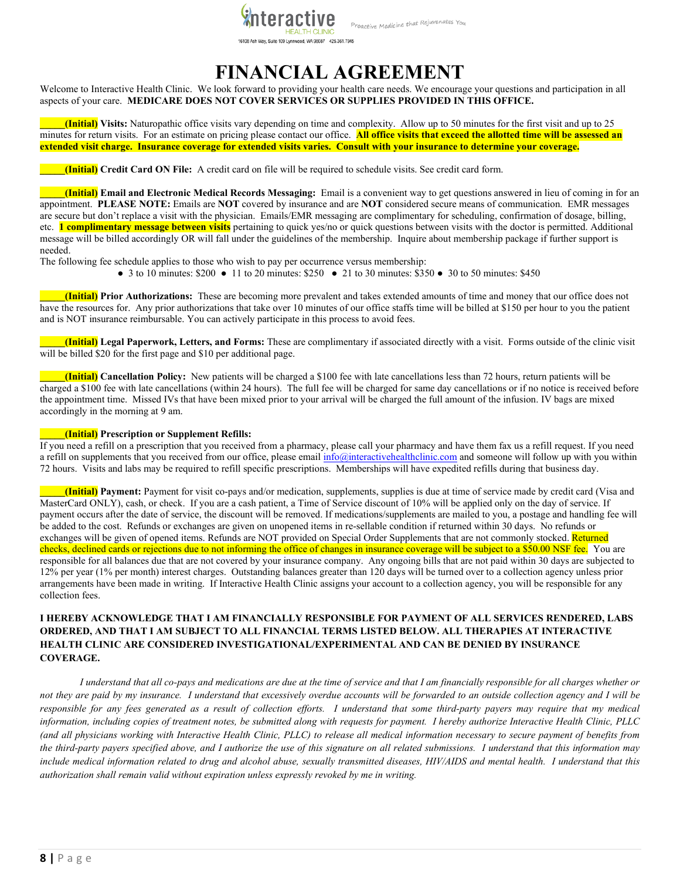

#### 16108 Ash Way, Suite 109 Lynnwood, WA 98087 425.361.7945

# **FINANCIAL AGREEMENT**

Welcome to Interactive Health Clinic. We look forward to providing your health care needs. We encourage your questions and participation in all aspects of your care. **MEDICARE DOES NOT COVER SERVICES OR SUPPLIES PROVIDED IN THIS OFFICE.**

**\_\_\_\_\_(Initial) Visits:** Naturopathic office visits vary depending on time and complexity. Allow up to 50 minutes for the first visit and up to 25 minutes for return visits. For an estimate on pricing please contact our office. **All office visits that exceed the allotted time will be assessed an extended visit charge. Insurance coverage for extended visits varies. Consult with your insurance to determine your coverage.**

**\_\_\_\_\_(Initial) Credit Card ON File:** A credit card on file will be required to schedule visits. See credit card form.

**\_\_\_\_\_(Initial) Email and Electronic Medical Records Messaging:** Email is a convenient way to get questions answered in lieu of coming in for an appointment. **PLEASE NOTE:** Emails are **NOT** covered by insurance and are **NOT** considered secure means of communication. EMR messages are secure but don't replace a visit with the physician. Emails/EMR messaging are complimentary for scheduling, confirmation of dosage, billing, etc. **1 complimentary message between visits** pertaining to quick yes/no or quick questions between visits with the doctor is permitted. Additional message will be billed accordingly OR will fall under the guidelines of the membership. Inquire about membership package if further support is needed.

The following fee schedule applies to those who wish to pay per occurrence versus membership:

● 3 to 10 minutes:  $$200$  ● 11 to 20 minutes:  $$250$  ● 21 to 30 minutes:  $$350$  ● 30 to 50 minutes:  $$450$ 

**\_\_\_\_\_(Initial) Prior Authorizations:** These are becoming more prevalent and takes extended amounts of time and money that our office does not have the resources for. Any prior authorizations that take over 10 minutes of our office staffs time will be billed at \$150 per hour to you the patient and is NOT insurance reimbursable. You can actively participate in this process to avoid fees.

**\_\_\_\_\_(Initial) Legal Paperwork, Letters, and Forms:** These are complimentary if associated directly with a visit. Forms outside of the clinic visit will be billed \$20 for the first page and \$10 per additional page.

**\_\_\_\_\_(Initial) Cancellation Policy:** New patients will be charged a \$100 fee with late cancellations less than 72 hours, return patients will be charged a \$100 fee with late cancellations (within 24 hours). The full fee will be charged for same day cancellations or if no notice is received before the appointment time. Missed IVs that have been mixed prior to your arrival will be charged the full amount of the infusion. IV bags are mixed accordingly in the morning at 9 am.

#### **\_\_\_\_\_(Initial) Prescription or Supplement Refills:**

If you need a refill on a prescription that you received from a pharmacy, please call your pharmacy and have them fax us a refill request. If you need a refill on supplements that you received from our office, please email info@interactivehealthclinic.com and someone will follow up with you within 72 hours. Visits and labs may be required to refill specific prescriptions. Memberships will have expedited refills during that business day.

**\_\_\_\_\_(Initial) Payment:** Payment for visit co-pays and/or medication, supplements, supplies is due at time of service made by credit card (Visa and MasterCard ONLY), cash, or check. If you are a cash patient, a Time of Service discount of 10% will be applied only on the day of service. If payment occurs after the date of service, the discount will be removed. If medications/supplements are mailed to you, a postage and handling fee will be added to the cost. Refunds or exchanges are given on unopened items in re-sellable condition if returned within 30 days. No refunds or exchanges will be given of opened items. Refunds are NOT provided on Special Order Supplements that are not commonly stocked. Returned checks, declined cards or rejections due to not informing the office of changes in insurance coverage will be subject to a \$50.00 NSF fee. You are responsible for all balances due that are not covered by your insurance company. Any ongoing bills that are not paid within 30 days are subjected to 12% per year (1% per month) interest charges. Outstanding balances greater than 120 days will be turned over to a collection agency unless prior arrangements have been made in writing. If Interactive Health Clinic assigns your account to a collection agency, you will be responsible for any collection fees.

#### **I HEREBY ACKNOWLEDGE THAT I AM FINANCIALLY RESPONSIBLE FOR PAYMENT OF ALL SERVICES RENDERED, LABS ORDERED, AND THAT I AM SUBJECT TO ALL FINANCIAL TERMS LISTED BELOW. ALL THERAPIES AT INTERACTIVE HEALTH CLINIC ARE CONSIDERED INVESTIGATIONAL/EXPERIMENTAL AND CAN BE DENIED BY INSURANCE COVERAGE.**

*I understand that all co-pays and medications are due at the time of service and that I am financially responsible for all charges whether or not they are paid by my insurance. I understand that excessively overdue accounts will be forwarded to an outside collection agency and I will be responsible for any fees generated as a result of collection efforts. I understand that some third-party payers may require that my medical information, including copies of treatment notes, be submitted along with requests for payment. I hereby authorize Interactive Health Clinic, PLLC (and all physicians working with Interactive Health Clinic, PLLC) to release all medical information necessary to secure payment of benefits from the third-party payers specified above, and I authorize the use of this signature on all related submissions. I understand that this information may include medical information related to drug and alcohol abuse, sexually transmitted diseases, HIV/AIDS and mental health. I understand that this authorization shall remain valid without expiration unless expressly revoked by me in writing.*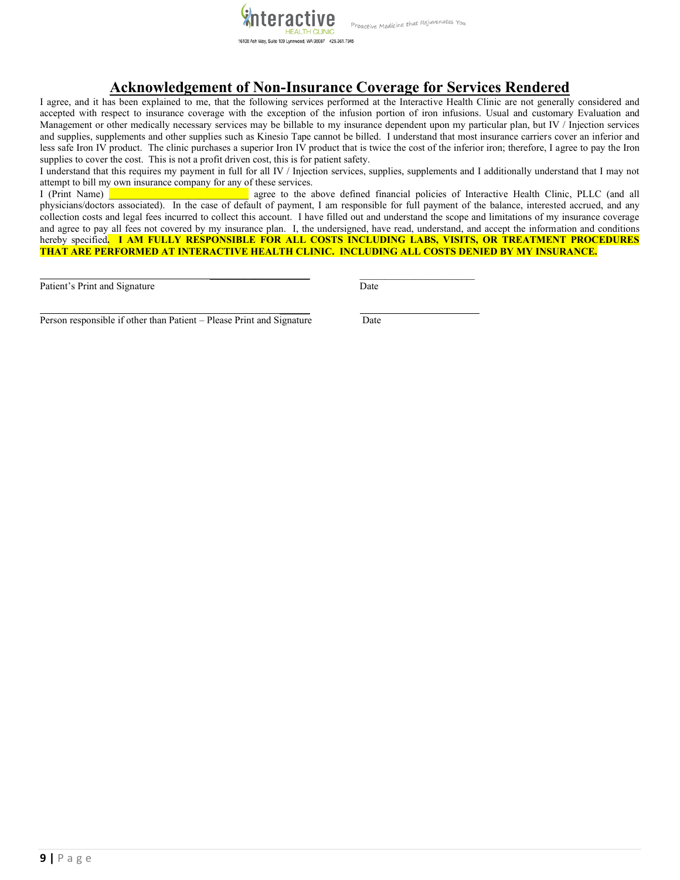

# **Acknowledgement of Non-Insurance Coverage for Services Rendered**

I agree, and it has been explained to me, that the following services performed at the Interactive Health Clinic are not generally considered and accepted with respect to insurance coverage with the exception of the infusion portion of iron infusions. Usual and customary Evaluation and Management or other medically necessary services may be billable to my insurance dependent upon my particular plan, but IV / Injection services and supplies, supplements and other supplies such as Kinesio Tape cannot be billed. I understand that most insurance carriers cover an inferior and less safe Iron IV product. The clinic purchases a superior Iron IV product that is twice the cost of the inferior iron; therefore, I agree to pay the Iron supplies to cover the cost. This is not a profit driven cost, this is for patient safety.

I understand that this requires my payment in full for all IV / Injection services, supplies, supplements and I additionally understand that I may not attempt to bill my own insurance company for any of these services.

I (Print Name) **Later and a linear agree to the above defined financial policies of Interactive Health Clinic, PLLC (and all** physicians/doctors associated). In the case of default of payment, I am responsible for full payment of the balance, interested accrued, and any collection costs and legal fees incurred to collect this account. I have filled out and understand the scope and limitations of my insurance coverage and agree to pay all fees not covered by my insurance plan. I, the undersigned, have read, understand, and accept the information and conditions hereby specified**. I AM FULLY RESPONSIBLE FOR ALL COSTS INCLUDING LABS, VISITS, OR TREATMENT PROCEDURES THAT ARE PERFORMED AT INTERACTIVE HEALTH CLINIC. INCLUDING ALL COSTS DENIED BY MY INSURANCE.** 

 $\mathcal{L}$ 

Patient's Print and Signature Date

\_\_\_\_\_\_\_\_\_\_\_\_\_\_\_\_\_\_\_\_ \_\_\_\_\_\_\_\_\_\_\_\_\_\_\_\_\_\_\_\_\_\_\_

Person responsible if other than Patient – Please Print and Signature Date